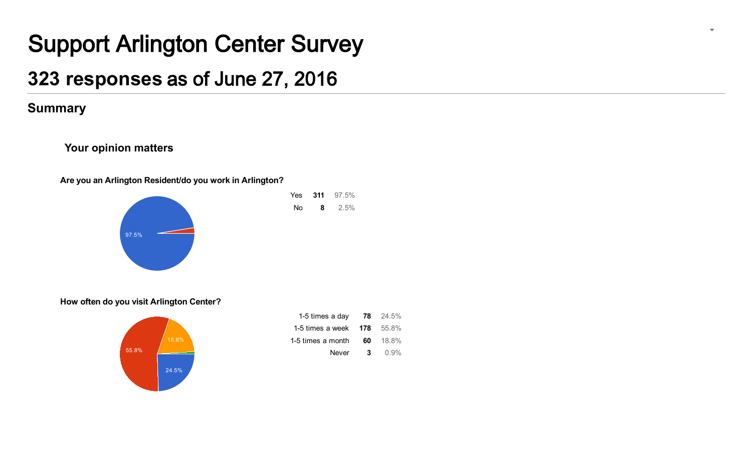# Support Arlington Center Survey

# [323 re](https://docs.google.com/forms/d/1YljipBwnriZObHucWpSQzIcUIH14V3zvbyApEW3FFjM/edit#start=publishanalytics)sponses as of June 27, 2016

## **Summary**

### Your opinion matters

Are you an Arlington Resident/do you work in Arlington?



Yes 311 97.5% No 8 2.5%

How often do you visit Arlington Center?



| 1-5 times a day   | 78  | 24.5% |
|-------------------|-----|-------|
| 1-5 times a week  | 178 | 55.8% |
| 1-5 times a month | 60  | 18.8% |
| Never             | 3   | 0.9%  |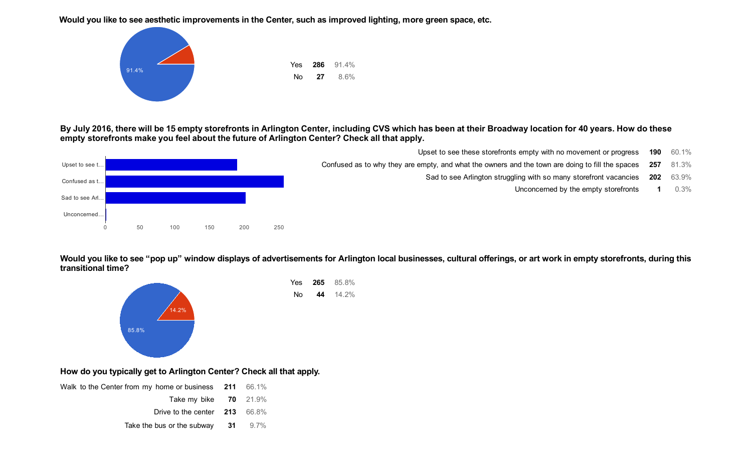Would you like to see aesthetic improvements in the Center, such as improved lighting, more green space, etc.



By July 2016, there will be 15 empty storefronts in Arlington Center, including CVS which has been at their Broadway location for 40 years. How do these empty storefronts make you feel about the future of Arlington Center? Check all that apply.



Upset to see these storefronts empty with no movement or progress 190 60.1%

Confused as to why they are empty, and what the owners and the town are doing to fill the spaces 257 81.3%

Sad to see Arlington struggling with so many storefront vacancies 202 63.9%

Unconcerned by the empty storefronts 1 0.3%

Would you like to see "pop up" window displays of advertisements for Arlington local businesses, cultural offerings, or art work in empty storefronts, during this transitional time?



### How do you typically get to Arlington Center? Check all that apply.

| Walk to the Center from my home or business 211 66.1% |  |  |
|-------------------------------------------------------|--|--|
| Take my bike $70$ 21.9%                               |  |  |
| Drive to the center $213$ 66.8%                       |  |  |
| Take the bus or the subway $31$ 9.7%                  |  |  |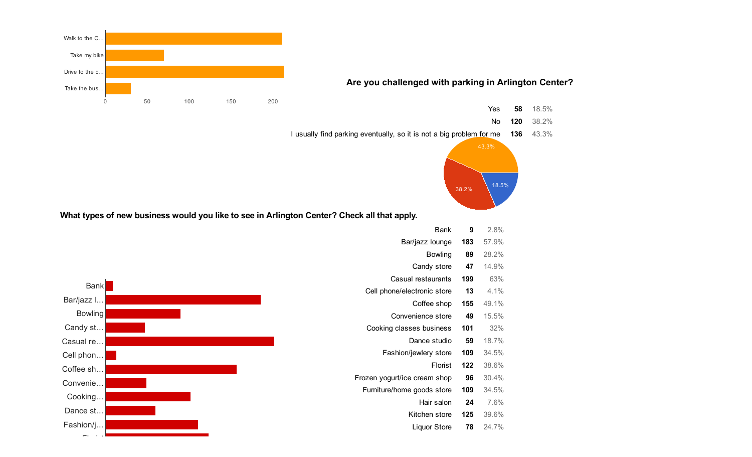

Florist

Liquor Store 78 24.7%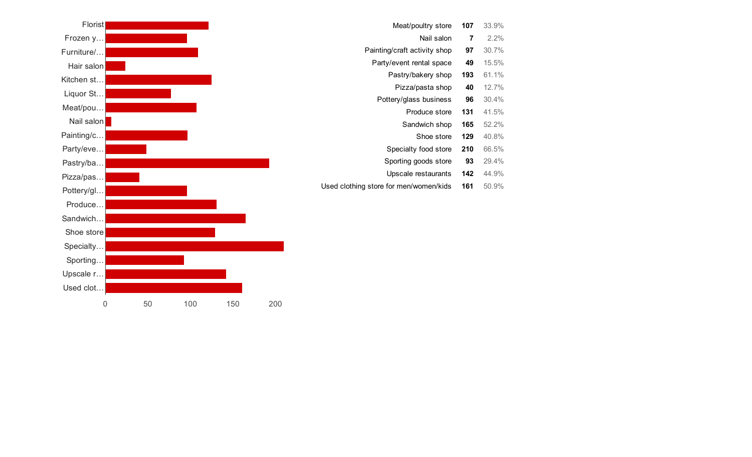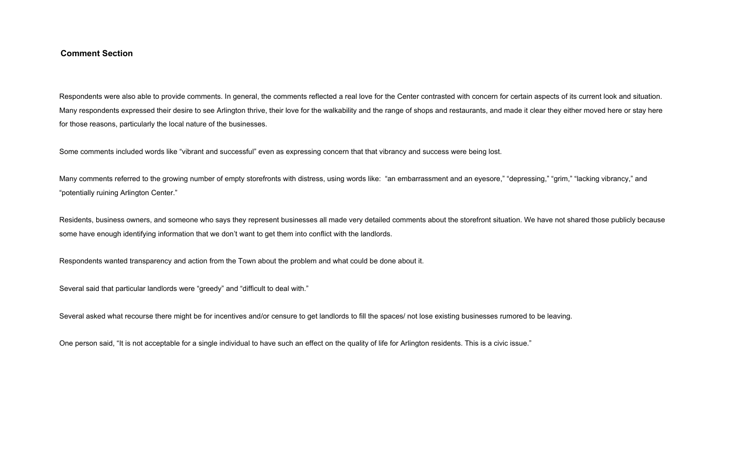#### **Comment Section**

Respondents were also able to provide comments. In general, the comments reflected a real love for the Center contrasted with concern for certain aspects of its current look and situation. Many respondents expressed their desire to see Arlington thrive, their love for the walkability and the range of shops and restaurants, and made it clear they either moved here or stay here for those reasons, particularly the local nature of the businesses.

Some comments included words like "vibrant and successful" even as expressing concern that that vibrancy and success were being lost.

Many comments referred to the growing number of empty storefronts with distress, using words like: "an embarrassment and an eyesore," "depressing," "grim," "lacking vibrancy," and "potentially ruining Arlington Center."

Residents, business owners, and someone who says they represent businesses all made very detailed comments about the storefront situation. We have not shared those publicly because some have enough identifying information that we don't want to get them into conflict with the landlords.

Respondents wanted transparency and action from the Town about the problem and what could be done about it.

Several said that particular landlords were "greedy" and "difficult to deal with."

Several asked what recourse there might be for incentives and/or censure to get landlords to fill the spaces/ not lose existing businesses rumored to be leaving.

One person said, "It is not acceptable for a single individual to have such an effect on the quality of life for Arlington residents. This is a civic issue."